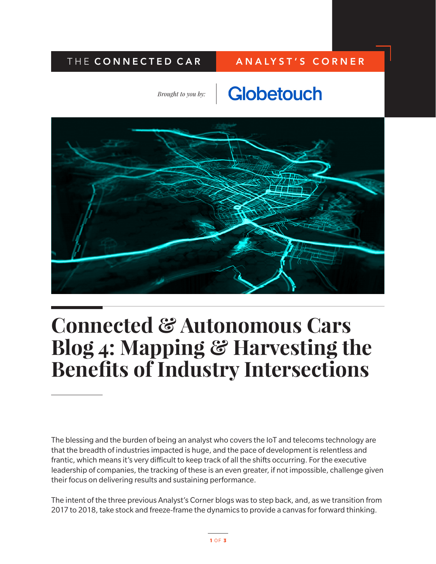### THE CONNECTED CAR | ANALYST'S CORNER

*Brought to you by:*





# **Connected & Autonomous Cars Blog 4: Mapping & Harvesting the Benefits of Industry Intersections**

The blessing and the burden of being an analyst who covers the IoT and telecoms technology are that the breadth of industries impacted is huge, and the pace of development is relentless and frantic, which means it's very difficult to keep track of all the shifts occurring. For the executive leadership of companies, the tracking of these is an even greater, if not impossible, challenge given their focus on delivering results and sustaining performance.

The intent of the three previous Analyst's Corner blogs was to step back, and, as we transition from 2017 to 2018, take stock and freeze-frame the dynamics to provide a canvas for forward thinking.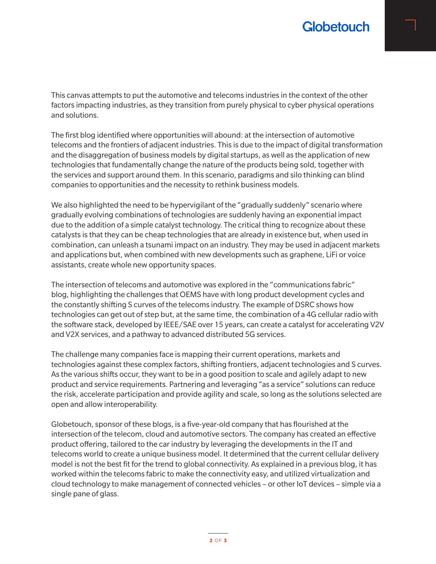## **Globetouch**

This canvas attempts to put the automotive and telecoms industries in the context of the other factors impacting industries, as they transition from purely physical to cyber physical operations and solutions.

The first blog identified where opportunities will abound: at the intersection of automotive telecoms and the frontiers of adjacent industries. This is due to the impact of digital transformation and the disaggregation of business models by digital startups, as well as the application of new technologies that fundamentally change the nature of the products being sold, together with the services and support around them. In this scenario, paradigms and silo thinking can blind companies to opportunities and the necessity to rethink business models.

We also highlighted the need to be hypervigilant of the "gradually suddenly" scenario where gradually evolving combinations of technologies are suddenly having an exponential impact due to the addition of a simple catalyst technology. The critical thing to recognize about these catalysts is that they can be cheap technologies that are already in existence but, when used in combination, can unleash a tsunami impact on an industry. They may be used in adjacent markets and applications but, when combined with new developments such as graphene, LiFi or voice assistants, create whole new opportunity spaces.

The intersection of telecoms and automotive was explored in the "communications fabric" blog, highlighting the challenges that OEMS have with long product development cycles and the constantly shifting S curves of the telecoms industry. The example of DSRC shows how technologies can get out of step but, at the same time, the combination of a 4G cellular radio with the software stack, developed by IEEE/SAE over 15 years, can create a catalyst for accelerating V2V and V2X services, and a pathway to advanced distributed 5G services.

The challenge many companies face is mapping their current operations, markets and technologies against these complex factors, shifting frontiers, adjacent technologies and S curves. As the various shifts occur, they want to be in a good position to scale and agilely adapt to new product and service requirements. Partnering and leveraging "as a service" solutions can reduce the risk, accelerate participation and provide agility and scale, so long as the solutions selected are open and allow interoperability.

Globetouch, sponsor of these blogs, is a five-year-old company that has flourished at the intersection of the telecom, cloud and automotive sectors. The company has created an effective product offering, tailored to the car industry by leveraging the developments in the IT and telecoms world to create a unique business model. It determined that the current cellular delivery model is not the best fit for the trend to global connectivity. As explained in a previous blog, it has worked within the telecoms fabric to make the connectivity easy, and utilized virtualization and cloud technology to make management of connected vehicles – or other IoT devices – simple via a single pane of glass.